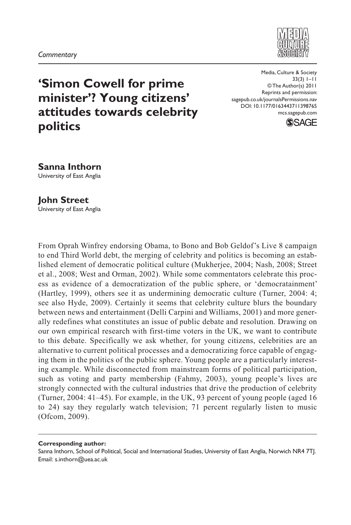

# **'Simon Cowell for prime minister'? Young citizens' attitudes towards celebrity politics**

Media, Culture & Society 33(3) 1–11 © The Author(s) 2011 Reprints and permission: sagepub.co.uk/journalsPermissions.nav DOI: 10.1177/0163443711398765 mcs.sagepub.com



**Sanna Inthorn** University of East Anglia

**John Street**

University of East Anglia

From Oprah Winfrey endorsing Obama, to Bono and Bob Geldof's Live 8 campaign to end Third World debt, the merging of celebrity and politics is becoming an established element of democratic political culture (Mukherjee, 2004; Nash, 2008; Street et al., 2008; West and Orman, 2002). While some commentators celebrate this process as evidence of a democratization of the public sphere, or 'democratainment' (Hartley, 1999), others see it as undermining democratic culture (Turner, 2004: 4; see also Hyde, 2009). Certainly it seems that celebrity culture blurs the boundary between news and entertainment (Delli Carpini and Williams, 2001) and more generally redefines what constitutes an issue of public debate and resolution. Drawing on our own empirical research with first-time voters in the UK, we want to contribute to this debate. Specifically we ask whether, for young citizens, celebrities are an alternative to current political processes and a democratizing force capable of engaging them in the politics of the public sphere. Young people are a particularly interesting example. While disconnected from mainstream forms of political participation, such as voting and party membership (Fahmy, 2003), young people's lives are strongly connected with the cultural industries that drive the production of celebrity (Turner, 2004: 41–45). For example, in the UK, 93 percent of young people (aged 16 to 24) say they regularly watch television; 71 percent regularly listen to music (Ofcom, 2009).

**Corresponding author:**

Sanna Inthorn, School of Political, Social and International Studies, University of East Anglia, Norwich NR4 7TJ. Email: s.inthorn@uea.ac.uk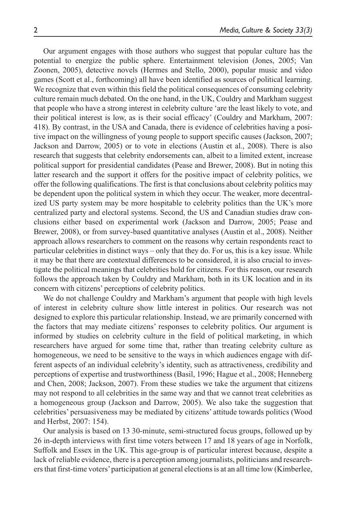Our argument engages with those authors who suggest that popular culture has the potential to energize the public sphere. Entertainment television (Jones, 2005; Van Zoonen, 2005), detective novels (Hermes and Stello, 2000), popular music and video games (Scott et al., forthcoming) all have been identified as sources of political learning. We recognize that even within this field the political consequences of consuming celebrity culture remain much debated. On the one hand, in the UK, Couldry and Markham suggest that people who have a strong interest in celebrity culture 'are the least likely to vote, and their political interest is low, as is their social efficacy' (Couldry and Markham, 2007: 418). By contrast, in the USA and Canada, there is evidence of celebrities having a positive impact on the willingness of young people to support specific causes (Jackson, 2007; Jackson and Darrow, 2005) or to vote in elections (Austin et al., 2008). There is also research that suggests that celebrity endorsements can, albeit to a limited extent, increase political support for presidential candidates (Pease and Brewer, 2008). But in noting this latter research and the support it offers for the positive impact of celebrity politics, we offer the following qualifications. The first is that conclusions about celebrity politics may be dependent upon the political system in which they occur. The weaker, more decentralized US party system may be more hospitable to celebrity politics than the UK's more centralized party and electoral systems. Second, the US and Canadian studies draw conclusions either based on experimental work (Jackson and Darrow, 2005; Pease and Brewer, 2008), or from survey-based quantitative analyses (Austin et al., 2008). Neither approach allows researchers to comment on the reasons why certain respondents react to particular celebrities in distinct ways – only that they do. For us, this is a key issue. While it may be that there are contextual differences to be considered, it is also crucial to investigate the political meanings that celebrities hold for citizens. For this reason, our research follows the approach taken by Couldry and Markham, both in its UK location and in its concern with citizens' perceptions of celebrity politics.

We do not challenge Couldry and Markham's argument that people with high levels of interest in celebrity culture show little interest in politics. Our research was not designed to explore this particular relationship. Instead, we are primarily concerned with the factors that may mediate citizens' responses to celebrity politics. Our argument is informed by studies on celebrity culture in the field of political marketing, in which researchers have argued for some time that, rather than treating celebrity culture as homogeneous, we need to be sensitive to the ways in which audiences engage with different aspects of an individual celebrity's identity, such as attractiveness, credibility and perceptions of expertise and trustworthiness (Basil, 1996; Hague et al., 2008; Henneberg and Chen, 2008; Jackson, 2007). From these studies we take the argument that citizens may not respond to all celebrities in the same way and that we cannot treat celebrities as a homogeneous group (Jackson and Darrow, 2005). We also take the suggestion that celebrities' persuasiveness may be mediated by citizens' attitude towards politics (Wood and Herbst, 2007: 154).

Our analysis is based on 13 30-minute, semi-structured focus groups, followed up by 26 in-depth interviews with first time voters between 17 and 18 years of age in Norfolk, Suffolk and Essex in the UK. This age-group is of particular interest because, despite a lack of reliable evidence, there is a perception among journalists, politicians and researchers that first-time voters' participation at general elections is at an all time low (Kimberlee,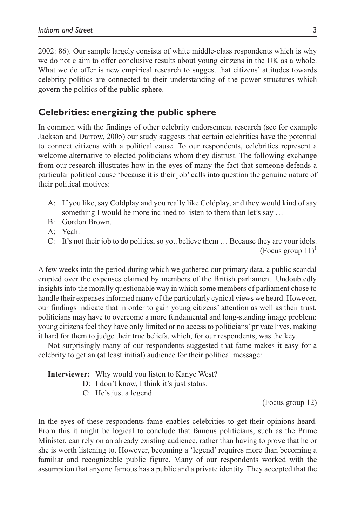2002: 86). Our sample largely consists of white middle-class respondents which is why we do not claim to offer conclusive results about young citizens in the UK as a whole. What we do offer is new empirical research to suggest that citizens' attitudes towards celebrity politics are connected to their understanding of the power structures which govern the politics of the public sphere.

## **Celebrities: energizing the public sphere**

In common with the findings of other celebrity endorsement research (see for example Jackson and Darrow, 2005) our study suggests that certain celebrities have the potential to connect citizens with a political cause. To our respondents, celebrities represent a welcome alternative to elected politicians whom they distrust. The following exchange from our research illustrates how in the eyes of many the fact that someone defends a particular political cause 'because it is their job' calls into question the genuine nature of their political motives:

- A: If you like, say Coldplay and you really like Coldplay, and they would kind of say something I would be more inclined to listen to them than let's say ...
- B: Gordon Brown.
- A: Yeah.
- C: It's not their job to do politics, so you believe them … Because they are your idols. (Focus group  $11$ )<sup>1</sup>

A few weeks into the period during which we gathered our primary data, a public scandal erupted over the expenses claimed by members of the British parliament. Undoubtedly insights into the morally questionable way in which some members of parliament chose to handle their expenses informed many of the particularly cynical views we heard. However, our findings indicate that in order to gain young citizens' attention as well as their trust, politicians may have to overcome a more fundamental and long-standing image problem: young citizens feel they have only limited or no access to politicians' private lives, making it hard for them to judge their true beliefs, which, for our respondents, was the key.

Not surprisingly many of our respondents suggested that fame makes it easy for a celebrity to get an (at least initial) audience for their political message:

**Interviewer:** Why would you listen to Kanye West?

- D: I don't know, I think it's just status.
- C: He's just a legend.

(Focus group 12)

In the eyes of these respondents fame enables celebrities to get their opinions heard. From this it might be logical to conclude that famous politicians, such as the Prime Minister, can rely on an already existing audience, rather than having to prove that he or she is worth listening to. However, becoming a 'legend' requires more than becoming a familiar and recognizable public figure. Many of our respondents worked with the assumption that anyone famous has a public and a private identity. They accepted that the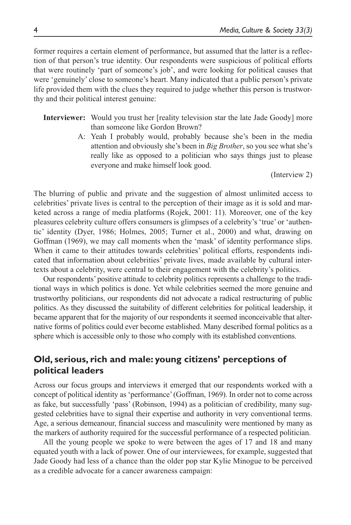former requires a certain element of performance, but assumed that the latter is a reflection of that person's true identity. Our respondents were suspicious of political efforts that were routinely 'part of someone's job', and were looking for political causes that were 'genuinely' close to someone's heart. Many indicated that a public person's private life provided them with the clues they required to judge whether this person is trustworthy and their political interest genuine:

- **Interviewer:** Would you trust her [reality television star the late Jade Goody] more than someone like Gordon Brown?
	- A: Yeah I probably would, probably because she's been in the media attention and obviously she's been in *Big Brother*, so you see what she's really like as opposed to a politician who says things just to please everyone and make himself look good.

(Interview 2)

The blurring of public and private and the suggestion of almost unlimited access to celebrities' private lives is central to the perception of their image as it is sold and marketed across a range of media platforms (Rojek, 2001: 11). Moreover, one of the key pleasures celebrity culture offers consumers is glimpses of a celebrity's 'true' or 'authentic' identity (Dyer, 1986; Holmes, 2005; Turner et al., 2000) and what, drawing on Goffman (1969), we may call moments when the 'mask' of identity performance slips. When it came to their attitudes towards celebrities' political efforts, respondents indicated that information about celebrities' private lives, made available by cultural intertexts about a celebrity, were central to their engagement with the celebrity's politics.

Our respondents' positive attitude to celebrity politics represents a challenge to the traditional ways in which politics is done. Yet while celebrities seemed the more genuine and trustworthy politicians, our respondents did not advocate a radical restructuring of public politics. As they discussed the suitability of different celebrities for political leadership, it became apparent that for the majority of our respondents it seemed inconceivable that alternative forms of politics could ever become established. Many described formal politics as a sphere which is accessible only to those who comply with its established conventions.

## **Old, serious, rich and male: young citizens' perceptions of political leaders**

Across our focus groups and interviews it emerged that our respondents worked with a concept of political identity as 'performance' (Goffman, 1969). In order not to come across as fake, but successfully 'pass' (Robinson, 1994) as a politician of credibility, many suggested celebrities have to signal their expertise and authority in very conventional terms. Age, a serious demeanour, financial success and masculinity were mentioned by many as the markers of authority required for the successful performance of a respected politician.

All the young people we spoke to were between the ages of 17 and 18 and many equated youth with a lack of power. One of our interviewees, for example, suggested that Jade Goody had less of a chance than the older pop star Kylie Minogue to be perceived as a credible advocate for a cancer awareness campaign: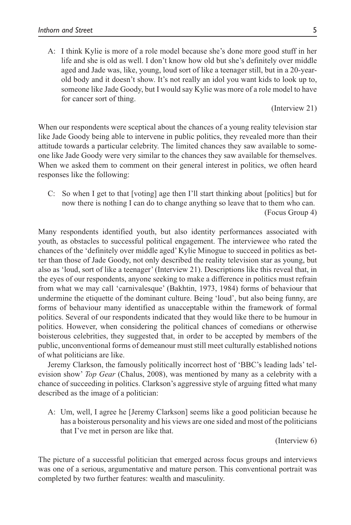A: I think Kylie is more of a role model because she's done more good stuff in her life and she is old as well. I don't know how old but she's definitely over middle aged and Jade was, like, young, loud sort of like a teenager still, but in a 20-yearold body and it doesn't show. It's not really an idol you want kids to look up to, someone like Jade Goody, but I would say Kylie was more of a role model to have for cancer sort of thing.

(Interview 21)

When our respondents were sceptical about the chances of a young reality television star like Jade Goody being able to intervene in public politics, they revealed more than their attitude towards a particular celebrity. The limited chances they saw available to someone like Jade Goody were very similar to the chances they saw available for themselves. When we asked them to comment on their general interest in politics, we often heard responses like the following:

C: So when I get to that [voting] age then I'll start thinking about [politics] but for now there is nothing I can do to change anything so leave that to them who can. (Focus Group 4)

Many respondents identified youth, but also identity performances associated with youth, as obstacles to successful political engagement. The interviewee who rated the chances of the 'definitely over middle aged' Kylie Minogue to succeed in politics as better than those of Jade Goody, not only described the reality television star as young, but also as 'loud, sort of like a teenager' (Interview 21). Descriptions like this reveal that, in the eyes of our respondents, anyone seeking to make a difference in politics must refrain from what we may call 'carnivalesque' (Bakhtin, 1973, 1984) forms of behaviour that undermine the etiquette of the dominant culture. Being 'loud', but also being funny, are forms of behaviour many identified as unacceptable within the framework of formal politics. Several of our respondents indicated that they would like there to be humour in politics. However, when considering the political chances of comedians or otherwise boisterous celebrities, they suggested that, in order to be accepted by members of the public, unconventional forms of demeanour must still meet culturally established notions of what politicians are like.

Jeremy Clarkson, the famously politically incorrect host of 'BBC's leading lads' television show' *Top Gear* (Chalus, 2008), was mentioned by many as a celebrity with a chance of succeeding in politics. Clarkson's aggressive style of arguing fitted what many described as the image of a politician:

A: Um, well, I agree he [Jeremy Clarkson] seems like a good politician because he has a boisterous personality and his views are one sided and most of the politicians that I've met in person are like that.

(Interview 6)

The picture of a successful politician that emerged across focus groups and interviews was one of a serious, argumentative and mature person. This conventional portrait was completed by two further features: wealth and masculinity.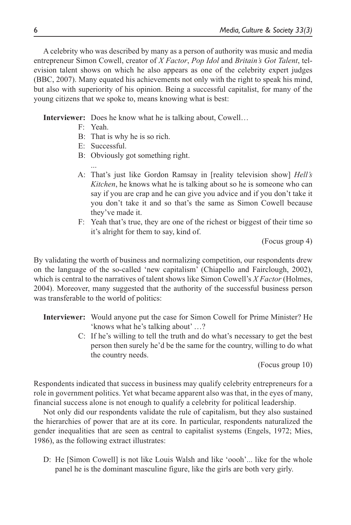A celebrity who was described by many as a person of authority was music and media entrepreneur Simon Cowell, creator of *X Factor*, *Pop Idol* and *Britain's Got Talent*, television talent shows on which he also appears as one of the celebrity expert judges (BBC, 2007). Many equated his achievements not only with the right to speak his mind, but also with superiority of his opinion. Being a successful capitalist, for many of the young citizens that we spoke to, means knowing what is best:

**Interviewer:** Does he know what he is talking about, Cowell...

- F: Yeah.
- B: That is why he is so rich.
- E: Successful.
- B: Obviously got something right. ...
	- A: That's just like Gordon Ramsay in [reality television show] *Hell's Kitchen*, he knows what he is talking about so he is someone who can say if you are crap and he can give you advice and if you don't take it you don't take it and so that's the same as Simon Cowell because they've made it.
	- F: Yeah that's true, they are one of the richest or biggest of their time so it's alright for them to say, kind of.

(Focus group 4)

By validating the worth of business and normalizing competition, our respondents drew on the language of the so-called 'new capitalism' (Chiapello and Fairclough, 2002), which is central to the narratives of talent shows like Simon Cowell's *X Factor* (Holmes, 2004). Moreover, many suggested that the authority of the successful business person was transferable to the world of politics:

**Interviewer:** Would anyone put the case for Simon Cowell for Prime Minister? He 'knows what he's talking about' …?

> C: If he's willing to tell the truth and do what's necessary to get the best person then surely he'd be the same for the country, willing to do what the country needs.

> > (Focus group 10)

Respondents indicated that success in business may qualify celebrity entrepreneurs for a role in government politics. Yet what became apparent also was that, in the eyes of many, financial success alone is not enough to qualify a celebrity for political leadership.

Not only did our respondents validate the rule of capitalism, but they also sustained the hierarchies of power that are at its core. In particular, respondents naturalized the gender inequalities that are seen as central to capitalist systems (Engels, 1972; Mies, 1986), as the following extract illustrates:

D: He [Simon Cowell] is not like Louis Walsh and like 'oooh'... like for the whole panel he is the dominant masculine figure, like the girls are both very girly.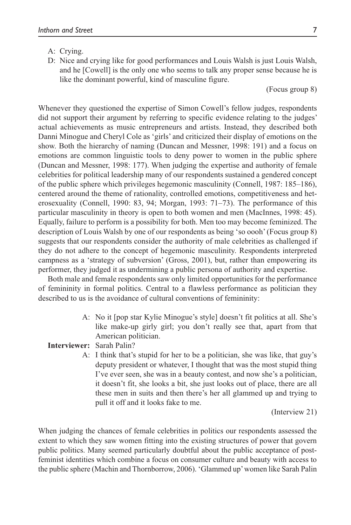- A: Crying.
- D: Nice and crying like for good performances and Louis Walsh is just Louis Walsh, and he [Cowell] is the only one who seems to talk any proper sense because he is like the dominant powerful, kind of masculine figure.

(Focus group 8)

Whenever they questioned the expertise of Simon Cowell's fellow judges, respondents did not support their argument by referring to specific evidence relating to the judges' actual achievements as music entrepreneurs and artists. Instead, they described both Danni Minogue and Cheryl Cole as 'girls' and criticized their display of emotions on the show. Both the hierarchy of naming (Duncan and Messner, 1998: 191) and a focus on emotions are common linguistic tools to deny power to women in the public sphere (Duncan and Messner, 1998: 177). When judging the expertise and authority of female celebrities for political leadership many of our respondents sustained a gendered concept of the public sphere which privileges hegemonic masculinity (Connell, 1987: 185–186), centered around the theme of rationality, controlled emotions, competitiveness and heterosexuality (Connell, 1990: 83, 94; Morgan, 1993: 71–73). The performance of this particular masculinity in theory is open to both women and men (MacInnes, 1998: 45). Equally, failure to perform is a possibility for both. Men too may become feminized. The description of Louis Walsh by one of our respondents as being 'so oooh' (Focus group 8) suggests that our respondents consider the authority of male celebrities as challenged if they do not adhere to the concept of hegemonic masculinity. Respondents interpreted campness as a 'strategy of subversion' (Gross, 2001), but, rather than empowering its performer, they judged it as undermining a public persona of authority and expertise.

Both male and female respondents saw only limited opportunities for the performance of femininity in formal politics. Central to a flawless performance as politician they described to us is the avoidance of cultural conventions of femininity:

> A: No it [pop star Kylie Minogue's style] doesn't fit politics at all. She's like make-up girly girl; you don't really see that, apart from that American politician.

**Interviewer:**  Sarah Palin?

 A: I think that's stupid for her to be a politician, she was like, that guy's deputy president or whatever, I thought that was the most stupid thing I've ever seen, she was in a beauty contest, and now she's a politician, it doesn't fit, she looks a bit, she just looks out of place, there are all these men in suits and then there's her all glammed up and trying to pull it off and it looks fake to me.

(Interview 21)

When judging the chances of female celebrities in politics our respondents assessed the extent to which they saw women fitting into the existing structures of power that govern public politics. Many seemed particularly doubtful about the public acceptance of postfeminist identities which combine a focus on consumer culture and beauty with access to the public sphere (Machin and Thornborrow, 2006). 'Glammed up' women like Sarah Palin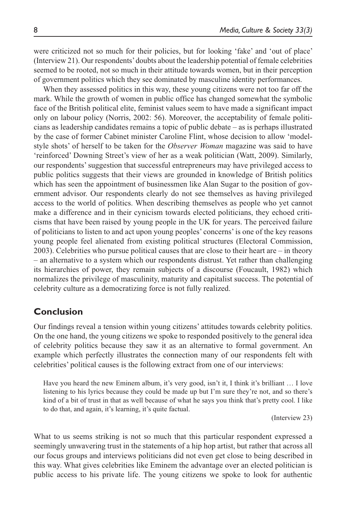were criticized not so much for their policies, but for looking 'fake' and 'out of place' (Interview 21). Our respondents' doubts about the leadership potential of female celebrities seemed to be rooted, not so much in their attitude towards women, but in their perception of government politics which they see dominated by masculine identity performances.

When they assessed politics in this way, these young citizens were not too far off the mark. While the growth of women in public office has changed somewhat the symbolic face of the British political elite, feminist values seem to have made a significant impact only on labour policy (Norris, 2002: 56). Moreover, the acceptability of female politicians as leadership candidates remains a topic of public debate – as is perhaps illustrated by the case of former Cabinet minister Caroline Flint, whose decision to allow 'modelstyle shots' of herself to be taken for the *Observer Woman* magazine was said to have 'reinforced' Downing Street's view of her as a weak politician (Watt, 2009). Similarly, our respondents' suggestion that successful entrepreneurs may have privileged access to public politics suggests that their views are grounded in knowledge of British politics which has seen the appointment of businessmen like Alan Sugar to the position of government advisor. Our respondents clearly do not see themselves as having privileged access to the world of politics. When describing themselves as people who yet cannot make a difference and in their cynicism towards elected politicians, they echoed criticisms that have been raised by young people in the UK for years. The perceived failure of politicians to listen to and act upon young peoples' concerns' is one of the key reasons young people feel alienated from existing political structures (Electoral Commission, 2003). Celebrities who pursue political causes that are close to their heart are – in theory – an alternative to a system which our respondents distrust. Yet rather than challenging its hierarchies of power, they remain subjects of a discourse (Foucault, 1982) which normalizes the privilege of masculinity, maturity and capitalist success. The potential of celebrity culture as a democratizing force is not fully realized.

## **Conclusion**

Our findings reveal a tension within young citizens' attitudes towards celebrity politics. On the one hand, the young citizens we spoke to responded positively to the general idea of celebrity politics because they saw it as an alternative to formal government. An example which perfectly illustrates the connection many of our respondents felt with celebrities' political causes is the following extract from one of our interviews:

Have you heard the new Eminem album, it's very good, isn't it, I think it's brilliant … I love listening to his lyrics because they could be made up but I'm sure they're not, and so there's kind of a bit of trust in that as well because of what he says you think that's pretty cool. I like to do that, and again, it's learning, it's quite factual.

(Interview 23)

What to us seems striking is not so much that this particular respondent expressed a seemingly unwavering trust in the statements of a hip hop artist, but rather that across all our focus groups and interviews politicians did not even get close to being described in this way. What gives celebrities like Eminem the advantage over an elected politician is public access to his private life. The young citizens we spoke to look for authentic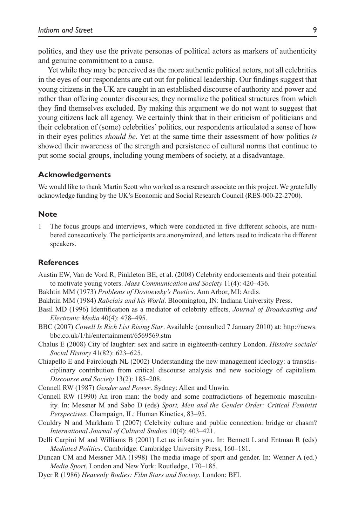politics, and they use the private personas of political actors as markers of authenticity and genuine commitment to a cause.

Yet while they may be perceived as the more authentic political actors, not all celebrities in the eyes of our respondents are cut out for political leadership. Our findings suggest that young citizens in the UK are caught in an established discourse of authority and power and rather than offering counter discourses, they normalize the political structures from which they find themselves excluded. By making this argument we do not want to suggest that young citizens lack all agency. We certainly think that in their criticism of politicians and their celebration of (some) celebrities' politics, our respondents articulated a sense of how in their eyes politics *should be*. Yet at the same time their assessment of how politics *is*  showed their awareness of the strength and persistence of cultural norms that continue to put some social groups, including young members of society, at a disadvantage.

### **Acknowledgements**

We would like to thank Martin Scott who worked as a research associate on this project. We gratefully acknowledge funding by the UK's Economic and Social Research Council (RES-000-22-2700).

### **Note**

1 The focus groups and interviews, which were conducted in five different schools, are numbered consecutively. The participants are anonymized, and letters used to indicate the different speakers.

### **References**

- Austin EW, Van de Vord R, Pinkleton BE, et al. (2008) Celebrity endorsements and their potential to motivate young voters. *Mass Communication and Society* 11(4): 420–436.
- Bakhtin MM (1973) *Problems of Dostoevsky's Poetics*. Ann Arbor, MI: Ardis*.*
- Bakhtin MM (1984) *Rabelais and his World*. Bloomington, IN: Indiana University Press.
- Basil MD (1996) Identification as a mediator of celebrity effects. *Journal of Broadcasting and Electronic Media* 40(4): 478–495.
- BBC (2007) *Cowell Is Rich List Rising Star*. Available (consulted 7 January 2010) at: http://news. bbc.co.uk/1/hi/entertainment/6569569.stm
- Chalus E (2008) City of laughter: sex and satire in eighteenth-century London. *Histoire sociale/ Social History* 41(82): 623–625.
- Chiapello E and Fairclough NL (2002) Understanding the new management ideology: a transdisciplinary contribution from critical discourse analysis and new sociology of capitalism. *Discourse and Society* 13(2): 185–208.

Connell RW (1987) *Gender and Power*. Sydney: Allen and Unwin.

- Connell RW (1990) An iron man: the body and some contradictions of hegemonic masculinity. In: Messner M and Sabo D (eds) *Sport, Men and the Gender Order: Critical Feminist Perspectives*. Champaign, IL: Human Kinetics, 83–95.
- Couldry N and Markham T (2007) Celebrity culture and public connection: bridge or chasm? *International Journal of Cultural Studies* 10(4): 403–421.
- Delli Carpini M and Williams B (2001) Let us infotain you. In: Bennett L and Entman R (eds) *Mediated Politics*. Cambridge: Cambridge University Press, 160–181.
- Duncan CM and Messner MA (1998) The media image of sport and gender. In: Wenner A (ed.) *Media Sport*. London and New York: Routledge, 170–185.
- Dyer R (1986) *Heavenly Bodies: Film Stars and Society*. London: BFI.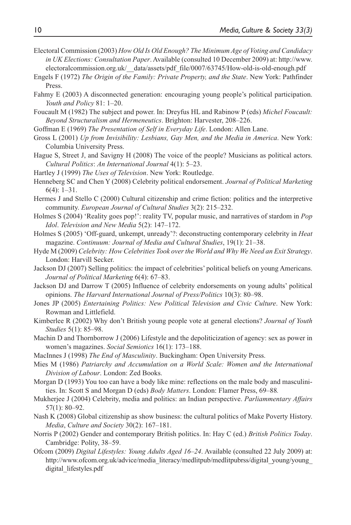- Electoral Commission (2003) *How Old Is Old Enough? The Minimum Age of Voting and Candidacy in UK Elections: Consultation Paper*. Available (consulted 10 December 2009) at: http://www. electoralcommission.org.uk/\_data/assets/pdf\_file/0007/63745/How-old-is-old-enough.pdf
- Engels F (1972) *The Origin of the Family: Private Property, and the State*. New York: Pathfinder Press.
- Fahmy E (2003) A disconnected generation: encouraging young people's political participation. *Youth and Policy* 81: 1–20.
- Foucault M (1982) The subject and power. In: Dreyfus HL and Rabinow P (eds) *Michel Foucault: Beyond Structuralism and Hermeneutics*. Brighton: Harvester, 208–226.
- Goffman E (1969) *The Presentation of Self in Everyday Life*. London: Allen Lane.
- Gross L (2001) *Up from Invisibility: Lesbians, Gay Men, and the Media in America*. New York: Columbia University Press.
- Hague S, Street J, and Savigny H (2008) The voice of the people? Musicians as political actors. *Cultural Politics*: *An International Journal* 4(1): 5–23.
- Hartley J (1999) *The Uses of Television*. New York: Routledge.
- Henneberg SC and Chen Y (2008) Celebrity political endorsement. *Journal of Political Marketing*  $6(4): 1-31.$
- Hermes J and Stello C (2000) Cultural citizenship and crime fiction: politics and the interpretive community. *European Journal of Cultural Studies* 3(2): 215–232.
- Holmes S (2004) 'Reality goes pop!': reality TV, popular music, and narratives of stardom in *Pop Idol*. *Television and New Media* 5(2): 147–172.
- Holmes S (2005) 'Off-guard, unkempt, unready'?: deconstructing contemporary celebrity in *Heat* magazine. *Continuum: Journal of Media and Cultural Studies*, 19(1): 21–38.
- Hyde M (2009) *Celebrity: How Celebrities Took over the World and Why We Need an Exit Strategy*. London: Harvill Secker.
- Jackson DJ (2007) Selling politics: the impact of celebrities' political beliefs on young Americans. *Journal of Political Marketing* 6(4): 67–83.
- Jackson DJ and Darrow T (2005) Influence of celebrity endorsements on young adults' political opinions. *The Harvard International Journal of Press/Politics* 10(3): 80–98.
- Jones JP (2005) *Entertaining Politics: New Political Television and Civic Culture*. New York: Rowman and Littlefield.
- Kimberlee R (2002) Why don't British young people vote at general elections? *Journal of Youth Studies* 5(1): 85–98.
- Machin D and Thornborrow J (2006) Lifestyle and the depoliticization of agency: sex as power in women's magazines. *Social Semiotics* 16(1): 173–188.
- MacInnes J (1998) *The End of Masculinity*. Buckingham: Open University Press.
- Mies M (1986) *Patriarchy and Accumulation on a World Scale: Women and the International Division of Labour*. London: Zed Books.
- Morgan D (1993) You too can have a body like mine: reflections on the male body and masculinities. In: Scott S and Morgan D (eds) *Body Matters*. London: Flamer Press, 69–88*.*
- Mukherjee J (2004) Celebrity, media and politics: an Indian perspective. *Parliammentary Affairs* 57(1): 80–92.
- Nash K (2008) Global citizenship as show business: the cultural politics of Make Poverty History. *Media*, *Culture and Society* 30(2): 167–181.
- Norris P (2002) Gender and contemporary British politics. In: Hay C (ed.) *British Politics Today*. Cambridge: Polity, 38–59.
- Ofcom (2009) *Digital Lifestyles: Young Adults Aged 16–24*. Available (consulted 22 July 2009) at: http://www.ofcom.org.uk/advice/media\_literacy/medlitpub/medlitpubrss/digital\_young/young\_ digital\_lifestyles.pdf